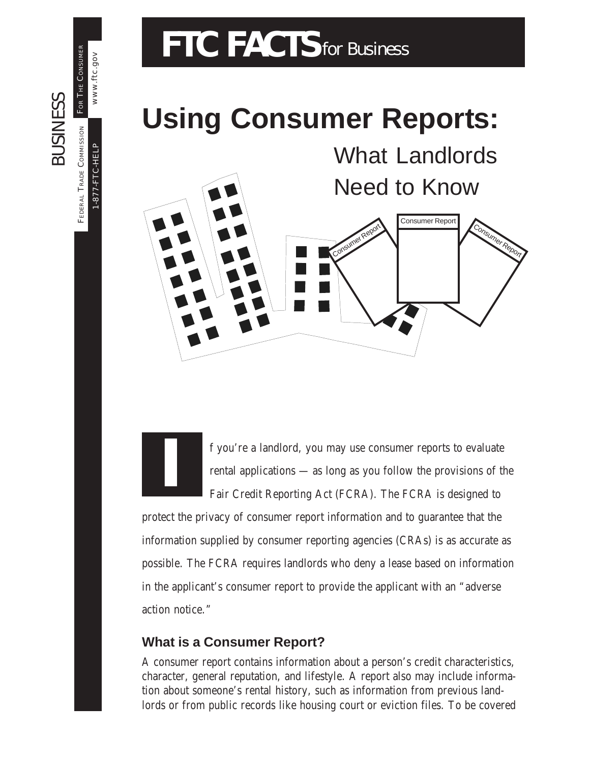# FTC FACTS for Business

## **Using Consumer Reports:**



f you're a landlord, you may use consumer reports to evaluate rental applications — as long as you follow the provisions of the Fair Credit Reporting Act (FCRA). The FCRA is designed to

protect the privacy of consumer report information and to guarantee that the information supplied by consumer reporting agencies (CRAs) is as accurate as possible. The FCRA requires landlords who deny a lease based on information in the applicant's consumer report to provide the applicant with an "adverse action notice."

### **What is a Consumer Report?**

**I**

A consumer report contains information about a person's credit characteristics, character, general reputation, and lifestyle. A report also may include information about someone's rental history, such as information from previous landlords or from public records like housing court or eviction files. To be covered

FEDERAL TRADE COMMISSION FOR THE CONSUMER FOR THE CONSUMER BUSINESS **SUSINESS** FEDERAL TRADE COMMISSION

1-877-FTC-HELP

 $-877-FTC-HELP$ 

www.ftc.gov

www.ftc.gov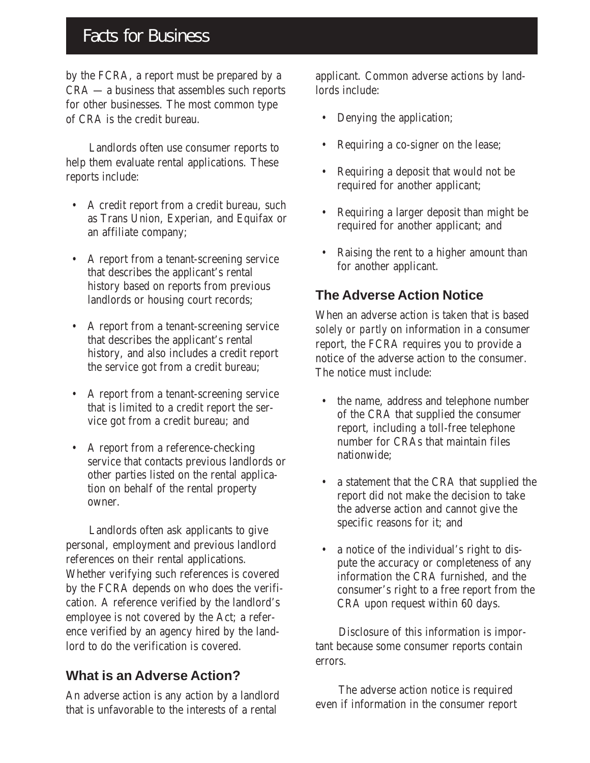## Facts for Business

by the FCRA, a report must be prepared by a CRA — a business that assembles such reports for other businesses. The most common type of CRA is the credit bureau.

Landlords often use consumer reports to help them evaluate rental applications. These reports include:

- A credit report from a credit bureau, such as Trans Union, Experian, and Equifax or an affiliate company;
- A report from a tenant-screening service that describes the applicant's rental history based on reports from previous landlords or housing court records;
- A report from a tenant-screening service that describes the applicant's rental history, and also includes a credit report the service got from a credit bureau;
- A report from a tenant-screening service that is limited to a credit report the service got from a credit bureau; and
- A report from a reference-checking service that contacts previous landlords or other parties listed on the rental application on behalf of the rental property owner.

Landlords often ask applicants to give personal, employment and previous landlord references on their rental applications. Whether verifying such references is covered by the FCRA depends on who does the verification. A reference verified by the landlord's employee is not covered by the Act; a reference verified by an agency hired by the landlord to do the verification is covered.

#### **What is an Adverse Action?**

An adverse action is any action by a landlord that is unfavorable to the interests of a rental

applicant. Common adverse actions by landlords include:

- Denying the application;
- Requiring a co-signer on the lease;
- Requiring a deposit that would not be required for another applicant;
- Requiring a larger deposit than might be required for another applicant; and
- Raising the rent to a higher amount than for another applicant.

### **The Adverse Action Notice**

When an adverse action is taken that is based *solely or partly* on information in a consumer report, the FCRA requires you to provide a notice of the adverse action to the consumer. The notice must include:

- the name, address and telephone number of the CRA that supplied the consumer report, including a toll-free telephone number for CRAs that maintain files nationwide;
- a statement that the CRA that supplied the report did not make the decision to take the adverse action and cannot give the specific reasons for it; and
- a notice of the individual's right to dispute the accuracy or completeness of any information the CRA furnished, and the consumer's right to a free report from the CRA upon request within 60 days.

Disclosure of this information is important because some consumer reports contain errors.

The adverse action notice is required even if information in the consumer report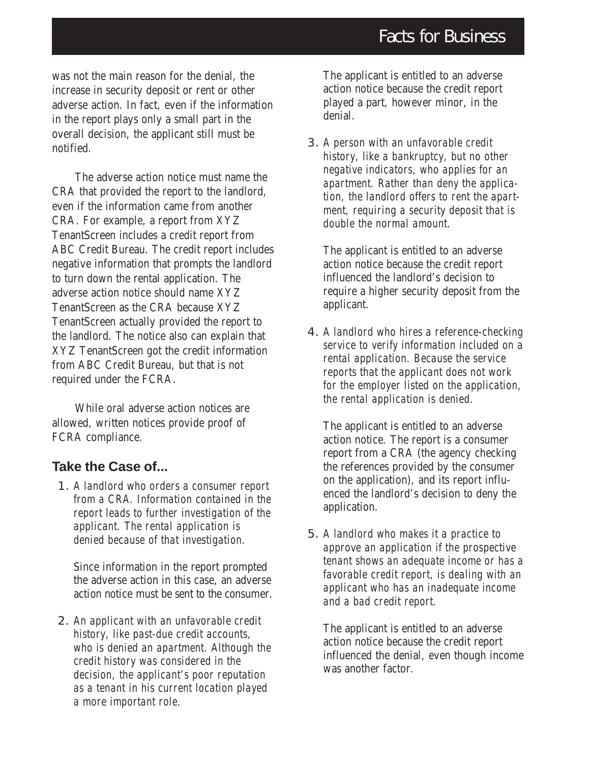was not the main reason for the denial, the increase in security deposit or rent or other adverse action. In fact, even if the information in the report plays only a small part in the overall decision, the applicant still must be notified.

The adverse action notice must name the CRA that provided the report to the landlord, even if the information came from another CRA. For example, a report from XYZ TenantScreen includes a credit report from ABC Credit Bureau. The credit report includes negative information that prompts the landlord to turn down the rental application. The adverse action notice should name XYZ TenantScreen as the CRA because XYZ TenantScreen actually provided the report to the landlord. The notice also can explain that XYZ TenantScreen got the credit information from ABC Credit Bureau, but that is not required under the FCRA.

While oral adverse action notices are allowed, written notices provide proof of FCRA compliance.

#### **Take the Case of...**

1. *A landlord who orders a consumer report from a CRA. Information contained in the report leads to further investigation of the applicant. The rental application is denied because of that investigation.*

Since information in the report prompted the adverse action in this case, an adverse action notice must be sent to the consumer.

2. *An applicant with an unfavorable credit history, like past-due credit accounts, who is denied an apartment. Although the credit history was considered in the decision, the applicant's poor reputation as a tenant in his current location played a more important role.*

The applicant is entitled to an adverse action notice because the credit report played a part, however minor, in the denial.

3. *A person with an unfavorable credit history, like a bankruptcy, but no other negative indicators, who applies for an apartment. Rather than deny the application, the landlord offers to rent the apartment, requiring a security deposit that is double the normal amount.*

The applicant is entitled to an adverse action notice because the credit report influenced the landlord's decision to require a higher security deposit from the applicant.

4. *A landlord who hires a reference-checking service to verify information included on a rental application. Because the service reports that the applicant does not work for the employer listed on the application, the rental application is denied.*

The applicant is entitled to an adverse action notice. The report is a consumer report from a CRA (the agency checking the references provided by the consumer on the application), and its report influenced the landlord's decision to deny the application.

5. *A landlord who makes it a practice to approve an application if the prospective tenant shows an adequate income or has a favorable credit report, is dealing with an applicant who has an inadequate income and a bad credit report.*

The applicant is entitled to an adverse action notice because the credit report influenced the denial, even though income was another factor.